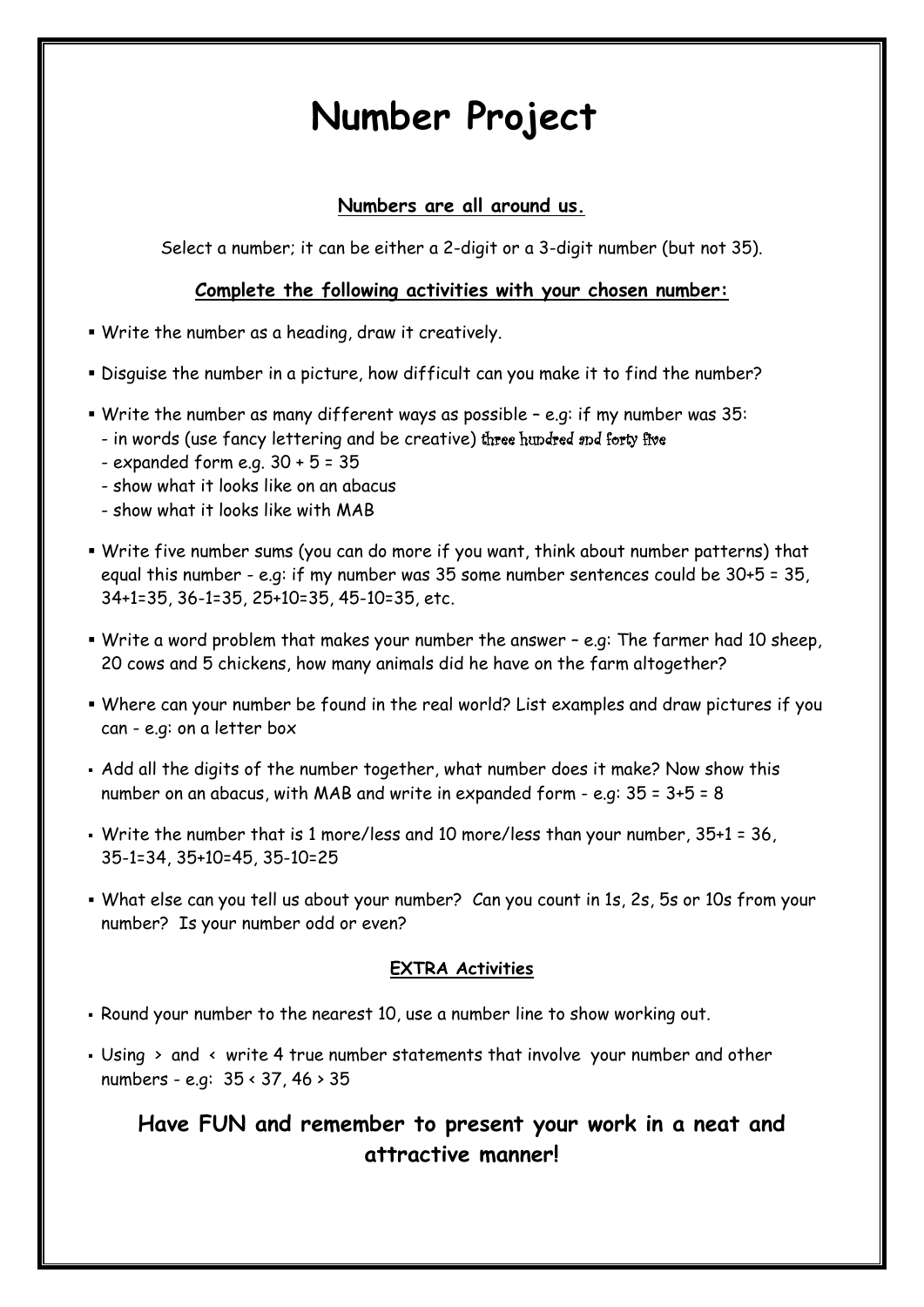# **Number Project**

### **Numbers are all around us.**

Select a number; it can be either a 2-digit or a 3-digit number (but not 35).

#### **Complete the following activities with your chosen number:**

- Write the number as a heading, draw it creatively.
- Disguise the number in a picture, how difficult can you make it to find the number?
- Write the number as many different ways as possible e.g: if my number was 35:
	- in words (use fancy lettering and be creative) three hundred and forty five
	- $-$  expanded form e.g.  $30 + 5 = 35$
	- show what it looks like on an abacus
	- show what it looks like with MAB
- Write five number sums (you can do more if you want, think about number patterns) that equal this number - e.g: if my number was 35 some number sentences could be 30+5 = 35, 34+1=35, 36-1=35, 25+10=35, 45-10=35, etc.
- Write a word problem that makes your number the answer e.g: The farmer had 10 sheep, 20 cows and 5 chickens, how many animals did he have on the farm altogether?
- Where can your number be found in the real world? List examples and draw pictures if you can - e.g: on a letter box
- Add all the digits of the number together, what number does it make? Now show this number on an abacus, with MAB and write in expanded form - e.g: 35 = 3+5 = 8
- Write the number that is 1 more/less and 10 more/less than your number, 35+1 = 36, 35-1=34, 35+10=45, 35-10=25
- What else can you tell us about your number? Can you count in 1s, 2s, 5s or 10s from your number? Is your number odd or even?

#### **EXTRA Activities**

- Round your number to the nearest 10, use a number line to show working out.
- **Using > and < write 4 true number statements that involve your number and other** numbers - e.g: 35 < 37, 46 > 35

## **Have FUN and remember to present your work in a neat and attractive manner!**